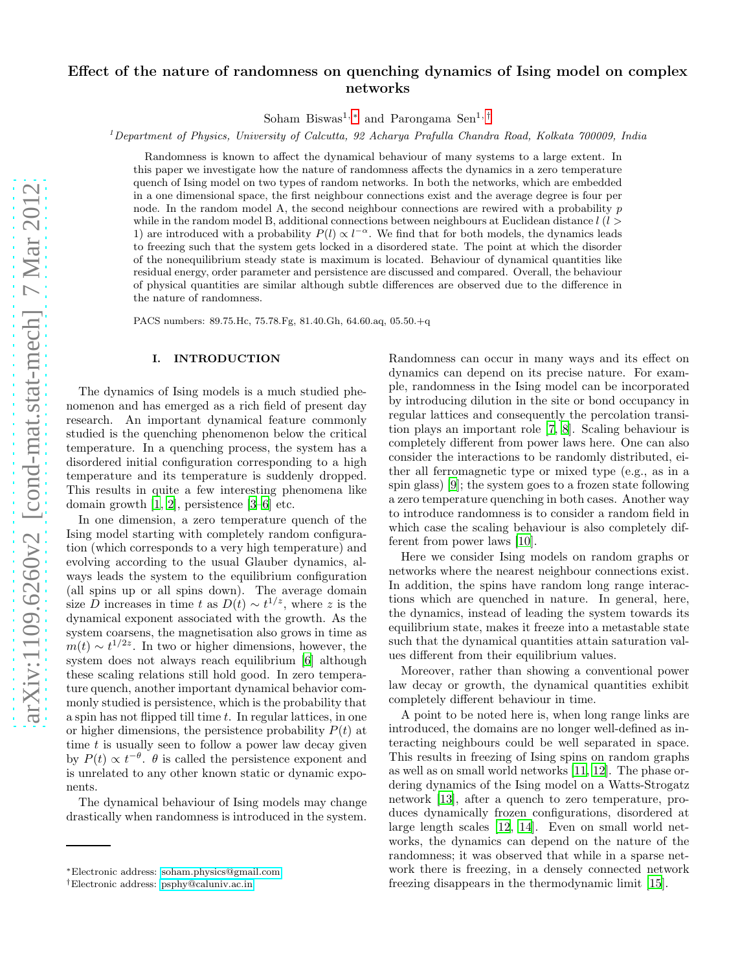# Effect of the nature of randomness on quenching dynamics of Ising model on complex networks

Soham Biswas<sup>1, [∗](#page-0-0)</sup> and Parongama Sen<sup>1, [†](#page-0-1)</sup>

 $1$ Department of Physics, University of Calcutta, 92 Acharya Prafulla Chandra Road, Kolkata 700009, India

Randomness is known to affect the dynamical behaviour of many systems to a large extent. In this paper we investigate how the nature of randomness affects the dynamics in a zero temperature quench of Ising model on two types of random networks. In both the networks, which are embedded in a one dimensional space, the first neighbour connections exist and the average degree is four per node. In the random model A, the second neighbour connections are rewired with a probability  $p$ while in the random model B, additional connections between neighbours at Euclidean distance  $l$  ( $l$ ) 1) are introduced with a probability  $P(l) \propto l^{-\alpha}$ . We find that for both models, the dynamics leads to freezing such that the system gets locked in a disordered state. The point at which the disorder of the nonequilibrium steady state is maximum is located. Behaviour of dynamical quantities like residual energy, order parameter and persistence are discussed and compared. Overall, the behaviour of physical quantities are similar although subtle differences are observed due to the difference in the nature of randomness.

PACS numbers: 89.75.Hc, 75.78.Fg, 81.40.Gh, 64.60.aq, 05.50.+q

### I. INTRODUCTION

The dynamics of Ising models is a much studied phenomenon and has emerged as a rich field of present day research. An important dynamical feature commonly studied is the quenching phenomenon below the critical temperature. In a quenching process, the system has a disordered initial configuration corresponding to a high temperature and its temperature is suddenly dropped. This results in quite a few interesting phenomena like domain growth [\[1,](#page-8-0) [2\]](#page-8-1), persistence [\[3](#page-8-2)[–6](#page-8-3)] etc.

In one dimension, a zero temperature quench of the Ising model starting with completely random configuration (which corresponds to a very high temperature) and evolving according to the usual Glauber dynamics, always leads the system to the equilibrium configuration (all spins up or all spins down). The average domain size D increases in time t as  $D(t) \sim t^{1/z}$ , where z is the dynamical exponent associated with the growth. As the system coarsens, the magnetisation also grows in time as  $m(t) \sim t^{1/2z}$ . In two or higher dimensions, however, the system does not always reach equilibrium [\[6\]](#page-8-3) although these scaling relations still hold good. In zero temperature quench, another important dynamical behavior commonly studied is persistence, which is the probability that a spin has not flipped till time t. In regular lattices, in one or higher dimensions, the persistence probability  $P(t)$  at time  $t$  is usually seen to follow a power law decay given by  $P(t) \propto t^{-\theta}$ .  $\theta$  is called the persistence exponent and is unrelated to any other known static or dynamic exponents.

The dynamical behaviour of Ising models may change drastically when randomness is introduced in the system.

Randomness can occur in many ways and its effect on dynamics can depend on its precise nature. For example, randomness in the Ising model can be incorporated by introducing dilution in the site or bond occupancy in regular lattices and consequently the percolation transition plays an important role [\[7](#page-8-4), [8\]](#page-8-5). Scaling behaviour is completely different from power laws here. One can also consider the interactions to be randomly distributed, either all ferromagnetic type or mixed type (e.g., as in a spin glass) [\[9](#page-8-6)]; the system goes to a frozen state following a zero temperature quenching in both cases. Another way to introduce randomness is to consider a random field in which case the scaling behaviour is also completely different from power laws [\[10\]](#page-8-7).

Here we consider Ising models on random graphs or networks where the nearest neighbour connections exist. In addition, the spins have random long range interactions which are quenched in nature. In general, here, the dynamics, instead of leading the system towards its equilibrium state, makes it freeze into a metastable state such that the dynamical quantities attain saturation values different from their equilibrium values.

Moreover, rather than showing a conventional power law decay or growth, the dynamical quantities exhibit completely different behaviour in time.

A point to be noted here is, when long range links are introduced, the domains are no longer well-defined as interacting neighbours could be well separated in space. This results in freezing of Ising spins on random graphs as well as on small world networks [\[11](#page-8-8), [12\]](#page-8-9). The phase ordering dynamics of the Ising model on a Watts-Strogatz network [\[13\]](#page-8-10), after a quench to zero temperature, produces dynamically frozen configurations, disordered at large length scales [\[12](#page-8-9), [14\]](#page-8-11). Even on small world networks, the dynamics can depend on the nature of the randomness; it was observed that while in a sparse network there is freezing, in a densely connected network freezing disappears in the thermodynamic limit [\[15\]](#page-8-12).

<span id="page-0-0"></span><sup>∗</sup>Electronic address: [soham.physics@gmail.com](mailto:soham.physics@gmail.com)

<span id="page-0-1"></span><sup>†</sup>Electronic address: [psphy@caluniv.ac.in](mailto:psphy@caluniv.ac.in)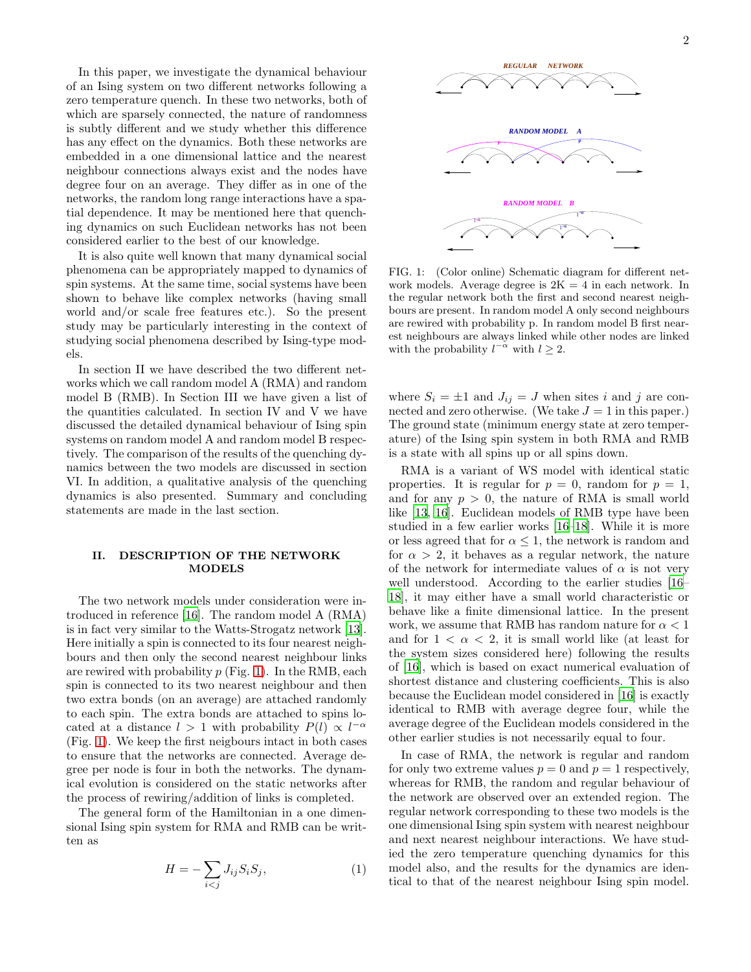In this paper, we investigate the dynamical behaviour of an Ising system on two different networks following a zero temperature quench. In these two networks, both of which are sparsely connected, the nature of randomness is subtly different and we study whether this difference has any effect on the dynamics. Both these networks are embedded in a one dimensional lattice and the nearest neighbour connections always exist and the nodes have degree four on an average. They differ as in one of the networks, the random long range interactions have a spatial dependence. It may be mentioned here that quenching dynamics on such Euclidean networks has not been considered earlier to the best of our knowledge.

It is also quite well known that many dynamical social phenomena can be appropriately mapped to dynamics of spin systems. At the same time, social systems have been shown to behave like complex networks (having small world and/or scale free features etc.). So the present study may be particularly interesting in the context of studying social phenomena described by Ising-type models.

In section II we have described the two different networks which we call random model A (RMA) and random model B (RMB). In Section III we have given a list of the quantities calculated. In section IV and V we have discussed the detailed dynamical behaviour of Ising spin systems on random model A and random model B respectively. The comparison of the results of the quenching dynamics between the two models are discussed in section VI. In addition, a qualitative analysis of the quenching dynamics is also presented. Summary and concluding statements are made in the last section.

## II. DESCRIPTION OF THE NETWORK MODELS

The two network models under consideration were introduced in reference [\[16](#page-8-13)]. The random model A (RMA) is in fact very similar to the Watts-Strogatz network [\[13\]](#page-8-10). Here initially a spin is connected to its four nearest neighbours and then only the second nearest neighbour links are rewired with probability  $p$  (Fig. [1\)](#page-1-0). In the RMB, each spin is connected to its two nearest neighbour and then two extra bonds (on an average) are attached randomly to each spin. The extra bonds are attached to spins located at a distance  $l > 1$  with probability  $P(l) \propto l^{-\alpha}$ (Fig. [1\)](#page-1-0). We keep the first neigbours intact in both cases to ensure that the networks are connected. Average degree per node is four in both the networks. The dynamical evolution is considered on the static networks after the process of rewiring/addition of links is completed.

The general form of the Hamiltonian in a one dimensional Ising spin system for RMA and RMB can be written as

$$
H = -\sum_{i < j} J_{ij} S_i S_j,\tag{1}
$$



<span id="page-1-0"></span>FIG. 1: (Color online) Schematic diagram for different network models. Average degree is  $2K = 4$  in each network. In the regular network both the first and second nearest neighbours are present. In random model A only second neighbours are rewired with probability p. In random model B first nearest neighbours are always linked while other nodes are linked with the probability  $l^{-\alpha}$  with  $l \geq 2$ .

where  $S_i = \pm 1$  and  $J_{ij} = J$  when sites i and j are connected and zero otherwise. (We take  $J = 1$  in this paper.) The ground state (minimum energy state at zero temperature) of the Ising spin system in both RMA and RMB is a state with all spins up or all spins down.

RMA is a variant of WS model with identical static properties. It is regular for  $p = 0$ , random for  $p = 1$ , and for any  $p > 0$ , the nature of RMA is small world like [\[13,](#page-8-10) [16\]](#page-8-13). Euclidean models of RMB type have been studied in a few earlier works [\[16](#page-8-13)[–18\]](#page-8-14). While it is more or less agreed that for  $\alpha \leq 1$ , the network is random and for  $\alpha > 2$ , it behaves as a regular network, the nature of the network for intermediate values of  $\alpha$  is not very well understood. According to the earlier studies [\[16](#page-8-13)– [18\]](#page-8-14), it may either have a small world characteristic or behave like a finite dimensional lattice. In the present work, we assume that RMB has random nature for  $\alpha < 1$ and for  $1 < \alpha < 2$ , it is small world like (at least for the system sizes considered here) following the results of [\[16\]](#page-8-13), which is based on exact numerical evaluation of shortest distance and clustering coefficients. This is also because the Euclidean model considered in [\[16](#page-8-13)] is exactly identical to RMB with average degree four, while the average degree of the Euclidean models considered in the other earlier studies is not necessarily equal to four.

In case of RMA, the network is regular and random for only two extreme values  $p = 0$  and  $p = 1$  respectively, whereas for RMB, the random and regular behaviour of the network are observed over an extended region. The regular network corresponding to these two models is the one dimensional Ising spin system with nearest neighbour and next nearest neighbour interactions. We have studied the zero temperature quenching dynamics for this model also, and the results for the dynamics are identical to that of the nearest neighbour Ising spin model.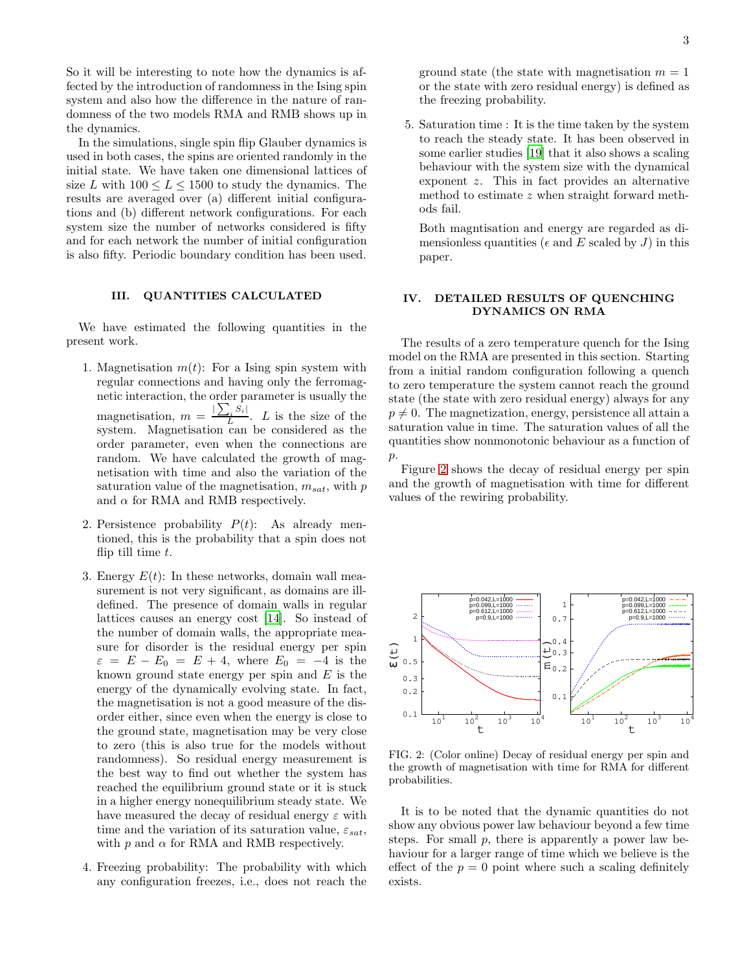So it will be interesting to note how the dynamics is affected by the introduction of randomness in the Ising spin system and also how the difference in the nature of randomness of the two models RMA and RMB shows up in the dynamics.

In the simulations, single spin flip Glauber dynamics is used in both cases, the spins are oriented randomly in the initial state. We have taken one dimensional lattices of size L with  $100 \leq L \leq 1500$  to study the dynamics. The results are averaged over (a) different initial configurations and (b) different network configurations. For each system size the number of networks considered is fifty and for each network the number of initial configuration is also fifty. Periodic boundary condition has been used.

## III. QUANTITIES CALCULATED

We have estimated the following quantities in the present work.

- 1. Magnetisation  $m(t)$ : For a Ising spin system with regular connections and having only the ferromagnetic interaction, the order parameter is usually the magnetisation,  $m = \frac{\sum_i S_i}{L}$  $\frac{L}{L}$ . L is the size of the system. Magnetisation can be considered as the order parameter, even when the connections are random. We have calculated the growth of magnetisation with time and also the variation of the saturation value of the magnetisation,  $m_{sat}$ , with  $p$ and  $\alpha$  for RMA and RMB respectively.
- 2. Persistence probability  $P(t)$ : As already mentioned, this is the probability that a spin does not flip till time  $t$ .
- 3. Energy  $E(t)$ : In these networks, domain wall measurement is not very significant, as domains are illdefined. The presence of domain walls in regular lattices causes an energy cost [\[14\]](#page-8-11). So instead of the number of domain walls, the appropriate measure for disorder is the residual energy per spin  $\varepsilon = E - E_0 = E + 4$ , where  $E_0 = -4$  is the known ground state energy per spin and  $E$  is the energy of the dynamically evolving state. In fact, the magnetisation is not a good measure of the disorder either, since even when the energy is close to the ground state, magnetisation may be very close to zero (this is also true for the models without randomness). So residual energy measurement is the best way to find out whether the system has reached the equilibrium ground state or it is stuck in a higher energy nonequilibrium steady state. We have measured the decay of residual energy  $\varepsilon$  with time and the variation of its saturation value,  $\varepsilon_{sat}$ , with  $p$  and  $\alpha$  for RMA and RMB respectively.
- 4. Freezing probability: The probability with which any configuration freezes, i.e., does not reach the

ground state (the state with magnetisation  $m = 1$ ) or the state with zero residual energy) is defined as the freezing probability.

5. Saturation time : It is the time taken by the system to reach the steady state. It has been observed in some earlier studies [\[19\]](#page-8-15) that it also shows a scaling behaviour with the system size with the dynamical exponent z. This in fact provides an alternative method to estimate z when straight forward methods fail.

Both magntisation and energy are regarded as dimensionless quantities ( $\epsilon$  and E scaled by J) in this paper.

## IV. DETAILED RESULTS OF QUENCHING DYNAMICS ON RMA

The results of a zero temperature quench for the Ising model on the RMA are presented in this section. Starting from a initial random configuration following a quench to zero temperature the system cannot reach the ground state (the state with zero residual energy) always for any  $p \neq 0$ . The magnetization, energy, persistence all attain a saturation value in time. The saturation values of all the quantities show nonmonotonic behaviour as a function of p.

Figure [2](#page-2-0) shows the decay of residual energy per spin and the growth of magnetisation with time for different values of the rewiring probability.



<span id="page-2-0"></span>FIG. 2: (Color online) Decay of residual energy per spin and the growth of magnetisation with time for RMA for different probabilities.

It is to be noted that the dynamic quantities do not show any obvious power law behaviour beyond a few time steps. For small  $p$ , there is apparently a power law behaviour for a larger range of time which we believe is the effect of the  $p = 0$  point where such a scaling definitely exists.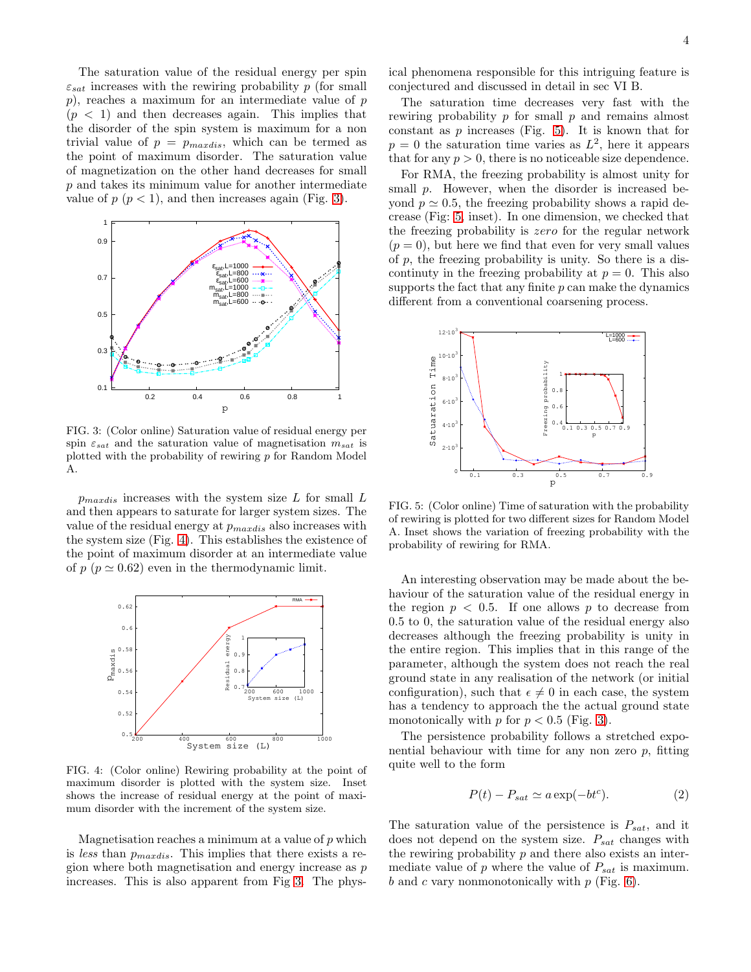The saturation value of the residual energy per spin  $\varepsilon_{sat}$  increases with the rewiring probability p (for small  $p$ ), reaches a maximum for an intermediate value of  $p$  $(p < 1)$  and then decreases again. This implies that the disorder of the spin system is maximum for a non trivial value of  $p = p_{maxdis}$ , which can be termed as the point of maximum disorder. The saturation value of magnetization on the other hand decreases for small p and takes its minimum value for another intermediate value of  $p (p < 1)$ , and then increases again (Fig. [3\)](#page-3-0).



<span id="page-3-0"></span>FIG. 3: (Color online) Saturation value of residual energy per spin  $\varepsilon_{sat}$  and the saturation value of magnetisation  $m_{sat}$  is plotted with the probability of rewiring p for Random Model A.

 $p_{maxdis}$  increases with the system size L for small L and then appears to saturate for larger system sizes. The value of the residual energy at  $p_{maxdis}$  also increases with the system size (Fig. [4\)](#page-3-1). This establishes the existence of the point of maximum disorder at an intermediate value of  $p \ (\bar{p} \simeq 0.62)$  even in the thermodynamic limit.



<span id="page-3-1"></span>FIG. 4: (Color online) Rewiring probability at the point of maximum disorder is plotted with the system size. Inset shows the increase of residual energy at the point of maximum disorder with the increment of the system size.

Magnetisation reaches a minimum at a value of  $p$  which is less than  $p_{maxdis}$ . This implies that there exists a region where both magnetisation and energy increase as p increases. This is also apparent from Fig [3.](#page-3-0) The physical phenomena responsible for this intriguing feature is conjectured and discussed in detail in sec VI B.

The saturation time decreases very fast with the rewiring probability p for small p and remains almost constant as  $p$  increases (Fig. [5\)](#page-3-2). It is known that for  $p = 0$  the saturation time varies as  $L^2$ , here it appears that for any  $p > 0$ , there is no noticeable size dependence.

For RMA, the freezing probability is almost unity for small p. However, when the disorder is increased beyond  $p \approx 0.5$ , the freezing probability shows a rapid decrease (Fig: [5,](#page-3-2) inset). In one dimension, we checked that the freezing probability is zero for the regular network  $(p = 0)$ , but here we find that even for very small values of p, the freezing probability is unity. So there is a discontinuty in the freezing probability at  $p = 0$ . This also supports the fact that any finite  $p$  can make the dynamics different from a conventional coarsening process.



<span id="page-3-2"></span>FIG. 5: (Color online) Time of saturation with the probability of rewiring is plotted for two different sizes for Random Model A. Inset shows the variation of freezing probability with the probability of rewiring for RMA.

An interesting observation may be made about the behaviour of the saturation value of the residual energy in the region  $p < 0.5$ . If one allows p to decrease from 0.5 to 0, the saturation value of the residual energy also decreases although the freezing probability is unity in the entire region. This implies that in this range of the parameter, although the system does not reach the real ground state in any realisation of the network (or initial configuration), such that  $\epsilon \neq 0$  in each case, the system has a tendency to approach the the actual ground state monotonically with  $p$  for  $p < 0.5$  (Fig. [3\)](#page-3-0).

The persistence probability follows a stretched exponential behaviour with time for any non zero  $p$ , fitting quite well to the form

$$
P(t) - P_{sat} \simeq a \exp(-bt^c). \tag{2}
$$

The saturation value of the persistence is  $P_{sat}$ , and it does not depend on the system size.  $P_{sat}$  changes with the rewiring probability  $p$  and there also exists an intermediate value of  $p$  where the value of  $P_{sat}$  is maximum. b and c vary nonmonotonically with  $p$  (Fig. [6\)](#page-4-0).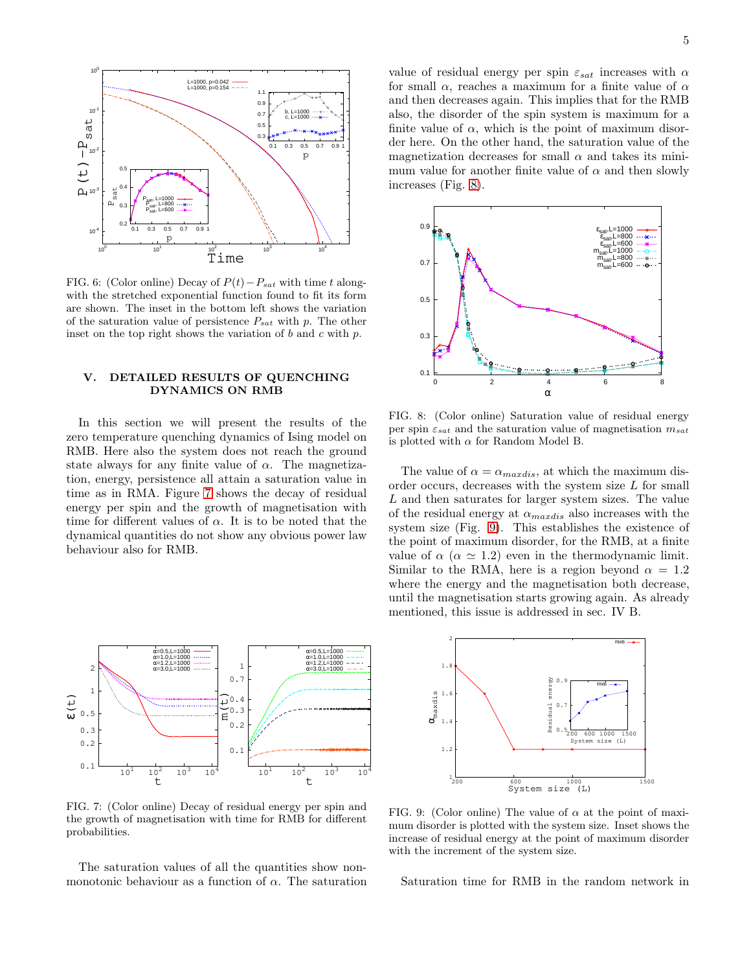

<span id="page-4-0"></span>FIG. 6: (Color online) Decay of  $P(t) - P_{sat}$  with time t alongwith the stretched exponential function found to fit its form are shown. The inset in the bottom left shows the variation of the saturation value of persistence  $P_{sat}$  with p. The other inset on the top right shows the variation of  $b$  and  $c$  with  $p$ .

## V. DETAILED RESULTS OF QUENCHING DYNAMICS ON RMB

In this section we will present the results of the zero temperature quenching dynamics of Ising model on RMB. Here also the system does not reach the ground state always for any finite value of  $\alpha$ . The magnetization, energy, persistence all attain a saturation value in time as in RMA. Figure [7](#page-4-1) shows the decay of residual energy per spin and the growth of magnetisation with time for different values of  $\alpha$ . It is to be noted that the dynamical quantities do not show any obvious power law behaviour also for RMB.



<span id="page-4-1"></span>FIG. 7: (Color online) Decay of residual energy per spin and the growth of magnetisation with time for RMB for different probabilities.

The saturation values of all the quantities show nonmonotonic behaviour as a function of  $\alpha$ . The saturation

value of residual energy per spin  $\varepsilon_{sat}$  increases with  $\alpha$ for small  $\alpha$ , reaches a maximum for a finite value of  $\alpha$ and then decreases again. This implies that for the RMB also, the disorder of the spin system is maximum for a finite value of  $\alpha$ , which is the point of maximum disorder here. On the other hand, the saturation value of the magnetization decreases for small  $\alpha$  and takes its minimum value for another finite value of  $\alpha$  and then slowly increases (Fig. [8\)](#page-4-2).



<span id="page-4-2"></span>FIG. 8: (Color online) Saturation value of residual energy per spin  $\varepsilon_{sat}$  and the saturation value of magnetisation  $m_{sat}$ is plotted with  $\alpha$  for Random Model B.

The value of  $\alpha = \alpha_{maxdis}$ , at which the maximum disorder occurs, decreases with the system size L for small L and then saturates for larger system sizes. The value of the residual energy at  $\alpha_{maxdis}$  also increases with the system size (Fig. [9\)](#page-4-3). This establishes the existence of the point of maximum disorder, for the RMB, at a finite value of  $\alpha$  ( $\alpha \simeq 1.2$ ) even in the thermodynamic limit. Similar to the RMA, here is a region beyond  $\alpha = 1.2$ where the energy and the magnetisation both decrease, until the magnetisation starts growing again. As already mentioned, this issue is addressed in sec. IV B.



<span id="page-4-3"></span>FIG. 9: (Color online) The value of  $\alpha$  at the point of maximum disorder is plotted with the system size. Inset shows the increase of residual energy at the point of maximum disorder with the increment of the system size.

Saturation time for RMB in the random network in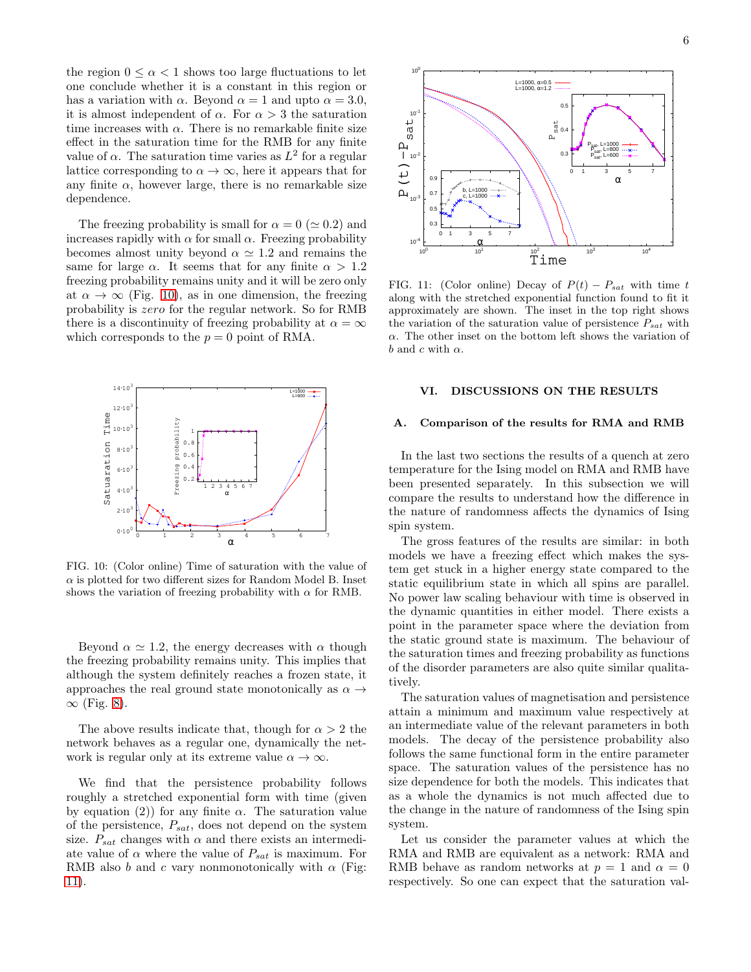the region  $0 \leq \alpha < 1$  shows too large fluctuations to let one conclude whether it is a constant in this region or has a variation with  $\alpha$ . Beyond  $\alpha = 1$  and upto  $\alpha = 3.0$ , it is almost independent of  $\alpha$ . For  $\alpha > 3$  the saturation time increases with  $\alpha$ . There is no remarkable finite size effect in the saturation time for the RMB for any finite value of  $\alpha$ . The saturation time varies as  $L^2$  for a regular lattice corresponding to  $\alpha \to \infty$ , here it appears that for any finite  $\alpha$ , however large, there is no remarkable size dependence.

The freezing probability is small for  $\alpha = 0 \ (\simeq 0.2)$  and increases rapidly with  $\alpha$  for small  $\alpha$ . Freezing probability becomes almost unity beyond  $\alpha \simeq 1.2$  and remains the same for large  $\alpha$ . It seems that for any finite  $\alpha > 1.2$ freezing probability remains unity and it will be zero only at  $\alpha \to \infty$  (Fig. [10\)](#page-5-0), as in one dimension, the freezing probability is zero for the regular network. So for RMB there is a discontinuity of freezing probability at  $\alpha = \infty$ which corresponds to the  $p = 0$  point of RMA.



<span id="page-5-0"></span>FIG. 10: (Color online) Time of saturation with the value of  $\alpha$  is plotted for two different sizes for Random Model B. Inset shows the variation of freezing probability with  $\alpha$  for RMB.

Beyond  $\alpha \simeq 1.2$ , the energy decreases with  $\alpha$  though the freezing probability remains unity. This implies that although the system definitely reaches a frozen state, it approaches the real ground state monotonically as  $\alpha \rightarrow$  $∞$  (Fig. [8\)](#page-4-2).

The above results indicate that, though for  $\alpha > 2$  the network behaves as a regular one, dynamically the network is regular only at its extreme value  $\alpha \to \infty$ .

We find that the persistence probability follows roughly a stretched exponential form with time (given by equation (2)) for any finite  $\alpha$ . The saturation value of the persistence,  $P_{sat}$ , does not depend on the system size.  $P_{sat}$  changes with  $\alpha$  and there exists an intermediate value of  $\alpha$  where the value of  $P_{sat}$  is maximum. For RMB also b and c vary nonmonotonically with  $\alpha$  (Fig. [11\)](#page-5-1).



<span id="page-5-1"></span>FIG. 11: (Color online) Decay of  $P(t) - P_{sat}$  with time t along with the stretched exponential function found to fit it approximately are shown. The inset in the top right shows the variation of the saturation value of persistence  $P_{sat}$  with  $\alpha$ . The other inset on the bottom left shows the variation of b and c with  $\alpha$ .

#### VI. DISCUSSIONS ON THE RESULTS

#### A. Comparison of the results for RMA and RMB

In the last two sections the results of a quench at zero temperature for the Ising model on RMA and RMB have been presented separately. In this subsection we will compare the results to understand how the difference in the nature of randomness affects the dynamics of Ising spin system.

The gross features of the results are similar: in both models we have a freezing effect which makes the system get stuck in a higher energy state compared to the static equilibrium state in which all spins are parallel. No power law scaling behaviour with time is observed in the dynamic quantities in either model. There exists a point in the parameter space where the deviation from the static ground state is maximum. The behaviour of the saturation times and freezing probability as functions of the disorder parameters are also quite similar qualitatively.

The saturation values of magnetisation and persistence attain a minimum and maximum value respectively at an intermediate value of the relevant parameters in both models. The decay of the persistence probability also follows the same functional form in the entire parameter space. The saturation values of the persistence has no size dependence for both the models. This indicates that as a whole the dynamics is not much affected due to the change in the nature of randomness of the Ising spin system.

Let us consider the parameter values at which the RMA and RMB are equivalent as a network: RMA and RMB behave as random networks at  $p = 1$  and  $\alpha = 0$ respectively. So one can expect that the saturation val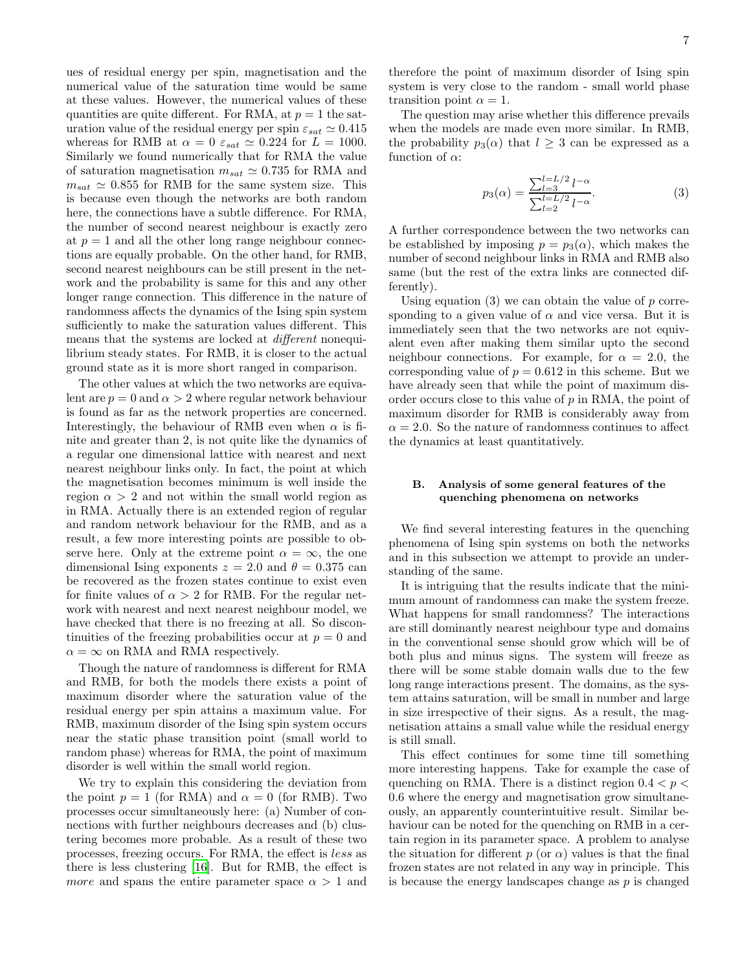ues of residual energy per spin, magnetisation and the numerical value of the saturation time would be same at these values. However, the numerical values of these quantities are quite different. For RMA, at  $p = 1$  the saturation value of the residual energy per spin  $\varepsilon_{sat} \simeq 0.415$ whereas for RMB at  $\alpha = 0$   $\varepsilon_{sat} \simeq 0.224$  for  $L = 1000$ . Similarly we found numerically that for RMA the value of saturation magnetisation  $m_{sat} \simeq 0.735$  for RMA and  $m_{sat} \simeq 0.855$  for RMB for the same system size. This is because even though the networks are both random here, the connections have a subtle difference. For RMA, the number of second nearest neighbour is exactly zero at  $p = 1$  and all the other long range neighbour connections are equally probable. On the other hand, for RMB, second nearest neighbours can be still present in the network and the probability is same for this and any other longer range connection. This difference in the nature of randomness affects the dynamics of the Ising spin system sufficiently to make the saturation values different. This means that the systems are locked at different nonequilibrium steady states. For RMB, it is closer to the actual ground state as it is more short ranged in comparison.

The other values at which the two networks are equivalent are  $p = 0$  and  $\alpha > 2$  where regular network behaviour is found as far as the network properties are concerned. Interestingly, the behaviour of RMB even when  $\alpha$  is finite and greater than 2, is not quite like the dynamics of a regular one dimensional lattice with nearest and next nearest neighbour links only. In fact, the point at which the magnetisation becomes minimum is well inside the region  $\alpha > 2$  and not within the small world region as in RMA. Actually there is an extended region of regular and random network behaviour for the RMB, and as a result, a few more interesting points are possible to observe here. Only at the extreme point  $\alpha = \infty$ , the one dimensional Ising exponents  $z = 2.0$  and  $\theta = 0.375$  can be recovered as the frozen states continue to exist even for finite values of  $\alpha > 2$  for RMB. For the regular network with nearest and next nearest neighbour model, we have checked that there is no freezing at all. So discontinuities of the freezing probabilities occur at  $p = 0$  and  $\alpha = \infty$  on RMA and RMA respectively.

Though the nature of randomness is different for RMA and RMB, for both the models there exists a point of maximum disorder where the saturation value of the residual energy per spin attains a maximum value. For RMB, maximum disorder of the Ising spin system occurs near the static phase transition point (small world to random phase) whereas for RMA, the point of maximum disorder is well within the small world region.

We try to explain this considering the deviation from the point  $p = 1$  (for RMA) and  $\alpha = 0$  (for RMB). Two processes occur simultaneously here: (a) Number of connections with further neighbours decreases and (b) clustering becomes more probable. As a result of these two processes, freezing occurs. For RMA, the effect is less as there is less clustering [\[16\]](#page-8-13). But for RMB, the effect is *more* and spans the entire parameter space  $\alpha > 1$  and

therefore the point of maximum disorder of Ising spin system is very close to the random - small world phase transition point  $\alpha = 1$ .

The question may arise whether this difference prevails when the models are made even more similar. In RMB, the probability  $p_3(\alpha)$  that  $l \geq 3$  can be expressed as a function of  $\alpha$ :

$$
p_3(\alpha) = \frac{\sum_{l=3}^{l=L/2} l^{-\alpha}}{\sum_{l=2}^{l=L/2} l^{-\alpha}}.
$$
 (3)

A further correspondence between the two networks can be established by imposing  $p = p_3(\alpha)$ , which makes the number of second neighbour links in RMA and RMB also same (but the rest of the extra links are connected differently).

Using equation  $(3)$  we can obtain the value of p corresponding to a given value of  $\alpha$  and vice versa. But it is immediately seen that the two networks are not equivalent even after making them similar upto the second neighbour connections. For example, for  $\alpha = 2.0$ , the corresponding value of  $p = 0.612$  in this scheme. But we have already seen that while the point of maximum disorder occurs close to this value of  $p$  in RMA, the point of maximum disorder for RMB is considerably away from  $\alpha = 2.0$ . So the nature of randomness continues to affect the dynamics at least quantitatively.

#### B. Analysis of some general features of the quenching phenomena on networks

We find several interesting features in the quenching phenomena of Ising spin systems on both the networks and in this subsection we attempt to provide an understanding of the same.

It is intriguing that the results indicate that the minimum amount of randomness can make the system freeze. What happens for small randomness? The interactions are still dominantly nearest neighbour type and domains in the conventional sense should grow which will be of both plus and minus signs. The system will freeze as there will be some stable domain walls due to the few long range interactions present. The domains, as the system attains saturation, will be small in number and large in size irrespective of their signs. As a result, the magnetisation attains a small value while the residual energy is still small.

This effect continues for some time till something more interesting happens. Take for example the case of quenching on RMA. There is a distinct region  $0.4 < p <$ 0.6 where the energy and magnetisation grow simultaneously, an apparently counterintuitive result. Similar behaviour can be noted for the quenching on RMB in a certain region in its parameter space. A problem to analyse the situation for different  $p$  (or  $\alpha$ ) values is that the final frozen states are not related in any way in principle. This is because the energy landscapes change as p is changed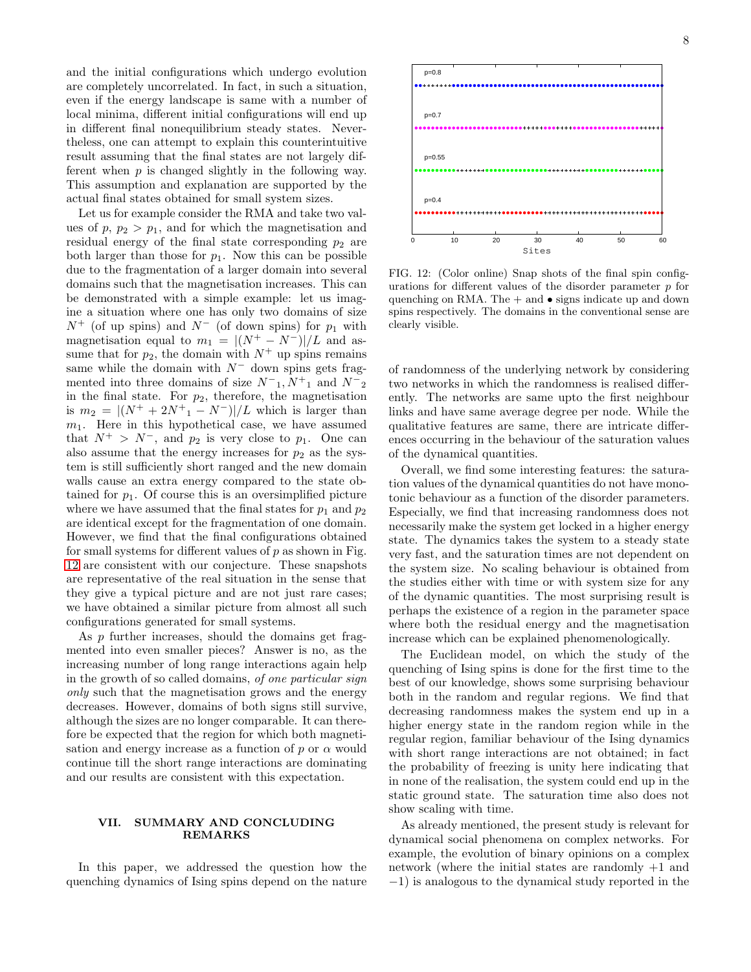and the initial configurations which undergo evolution are completely uncorrelated. In fact, in such a situation, even if the energy landscape is same with a number of local minima, different initial configurations will end up in different final nonequilibrium steady states. Nevertheless, one can attempt to explain this counterintuitive result assuming that the final states are not largely different when p is changed slightly in the following way. This assumption and explanation are supported by the actual final states obtained for small system sizes.

Let us for example consider the RMA and take two values of  $p, p_2 > p_1$ , and for which the magnetisation and residual energy of the final state corresponding  $p_2$  are both larger than those for  $p_1$ . Now this can be possible due to the fragmentation of a larger domain into several domains such that the magnetisation increases. This can be demonstrated with a simple example: let us imagine a situation where one has only two domains of size  $N^+$  (of up spins) and  $N^-$  (of down spins) for  $p_1$  with magnetisation equal to  $m_1 = |(N^+ - N^-)|/L$  and assume that for  $p_2$ , the domain with  $N^+$  up spins remains same while the domain with  $N^-$  down spins gets fragmented into three domains of size  $N^-_1, N^+_1$  and  $N^-_2$ in the final state. For  $p_2$ , therefore, the magnetisation is  $m_2 = |(N^+ + 2N^+ - N^-)|/L$  which is larger than  $m_1$ . Here in this hypothetical case, we have assumed that  $N^+ > N^-$ , and  $p_2$  is very close to  $p_1$ . One can also assume that the energy increases for  $p_2$  as the system is still sufficiently short ranged and the new domain walls cause an extra energy compared to the state obtained for  $p_1$ . Of course this is an oversimplified picture where we have assumed that the final states for  $p_1$  and  $p_2$ are identical except for the fragmentation of one domain. However, we find that the final configurations obtained for small systems for different values of  $p$  as shown in Fig. [12](#page-7-0) are consistent with our conjecture. These snapshots are representative of the real situation in the sense that they give a typical picture and are not just rare cases; we have obtained a similar picture from almost all such configurations generated for small systems.

As p further increases, should the domains get fragmented into even smaller pieces? Answer is no, as the increasing number of long range interactions again help in the growth of so called domains, of one particular sign only such that the magnetisation grows and the energy decreases. However, domains of both signs still survive, although the sizes are no longer comparable. It can therefore be expected that the region for which both magnetisation and energy increase as a function of  $p$  or  $\alpha$  would continue till the short range interactions are dominating and our results are consistent with this expectation.

#### VII. SUMMARY AND CONCLUDING REMARKS

In this paper, we addressed the question how the quenching dynamics of Ising spins depend on the nature



<span id="page-7-0"></span>FIG. 12: (Color online) Snap shots of the final spin configurations for different values of the disorder parameter  $p$  for quenching on RMA. The  $+$  and  $\bullet$  signs indicate up and down spins respectively. The domains in the conventional sense are clearly visible.

of randomness of the underlying network by considering two networks in which the randomness is realised differently. The networks are same upto the first neighbour links and have same average degree per node. While the qualitative features are same, there are intricate differences occurring in the behaviour of the saturation values of the dynamical quantities.

Overall, we find some interesting features: the saturation values of the dynamical quantities do not have monotonic behaviour as a function of the disorder parameters. Especially, we find that increasing randomness does not necessarily make the system get locked in a higher energy state. The dynamics takes the system to a steady state very fast, and the saturation times are not dependent on the system size. No scaling behaviour is obtained from the studies either with time or with system size for any of the dynamic quantities. The most surprising result is perhaps the existence of a region in the parameter space where both the residual energy and the magnetisation increase which can be explained phenomenologically.

The Euclidean model, on which the study of the quenching of Ising spins is done for the first time to the best of our knowledge, shows some surprising behaviour both in the random and regular regions. We find that decreasing randomness makes the system end up in a higher energy state in the random region while in the regular region, familiar behaviour of the Ising dynamics with short range interactions are not obtained; in fact the probability of freezing is unity here indicating that in none of the realisation, the system could end up in the static ground state. The saturation time also does not show scaling with time.

As already mentioned, the present study is relevant for dynamical social phenomena on complex networks. For example, the evolution of binary opinions on a complex network (where the initial states are randomly +1 and −1) is analogous to the dynamical study reported in the